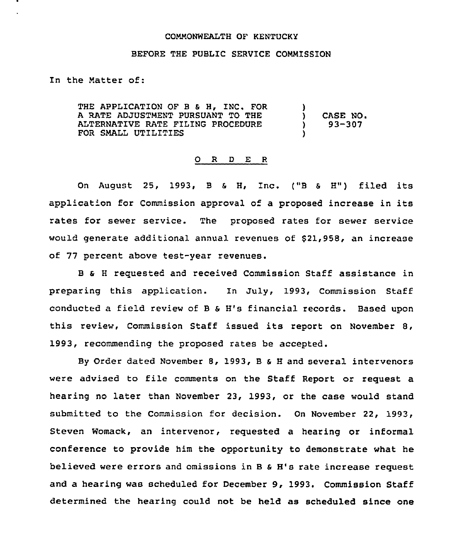#### COMMONWEALTH OF KENTUCKY

# BEFORE THE PUBLIC SERVICE COMMISSION

In the Matter of:

THE APPLICATION OF B & H, INC. FOR A RATE ADJUSTMENT PURSUANT TO THE ALTERNATIVE RATE FILING PROCEDURE FOR SMALL UTILITIES  $\left\{ \right\}$  $)$  CASE NO.<br>  $)$  93-307 ) 93-307 )

#### O R D E R

On August 25, 1993, <sup>B</sup> <sup>6</sup> H, Inc. {"8 <sup>S</sup> H") filed its application for Commission approval of a proposed increase in its rates for sewer service. The proposed rates for sewer service would generate additional annual revenues of \$21,958, an increase of 77 percent above test-year revenues.

B <sup>S</sup> <sup>H</sup> reguested and received Commission Staff assistance in preparing this application. In July, 1993, Commission Staff conducted a field review of B & H's financial records. Based upon this review, Commission Staff issued its report on November 8, 1993, recommending the proposed rates be accepted.

By Order dated November 8, 1993, B & H and several intervenors were advised to file comments on the Staff Report or request a hearing no later than November 23, 1993, or the case would stand submitted to the Commission for decision. On November 22, 1993, Steven Womack, an intervenor, requested a hearing or informal conference to provide him the opportunity to demonstrate what he believed were errors and omissions in B & H's rate increase request and a hearing was scheduled for December 9, 1993. Commission Staff determined the hearing could not be held as scheduled since one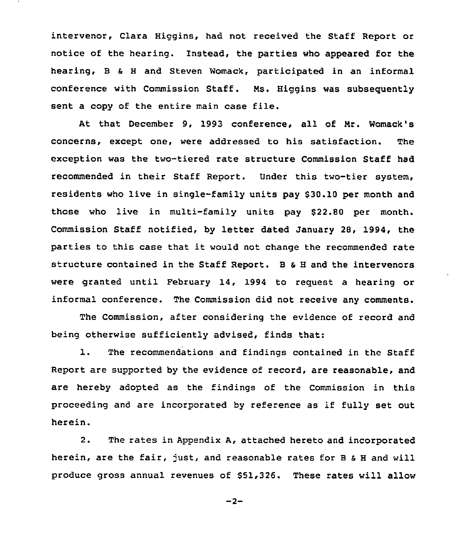intervenor, Clara Higgins, had not received the Staff Report or notice of the hearing. Instead, the parties who appeared for the hearing, B <sup>4</sup> <sup>H</sup> and Steven Womack, participated in an informal conference with Commission Staff. Ns. Higgins was subsequently sent <sup>a</sup> copy of the entire main case file.

At that December 9, 1993 conference, all of Nr. Womack's concerns, except one, were addressed to his satisfaction. The exception was the two-tiered rate structure Commission Staff had recommended in their Staff Report. Under this two-tier system, residents who live in single-family units pay \$30.10 per month and those who live in multi-family units pay \$22.80 per month. Commission Staff notified, by letter dated January 28, 1994, the parties to this case that it would not change the recommended rate structure contained in the Staff Report. B <sup>S</sup> <sup>H</sup> and the intervenors were granted until February 14, 1994 to request a hearing or informal conference. The Commission did not receive any comments.

The Commission, after considering the evidence of record and being otherwise sufficiently advised, finds that:

1. The recommendations and findings contained in the Staff Report are supported by the evidence of record, are reasonable, and are hereby adopted as the findings of the Commission in this proceeding and are incorporated by reference as if fully set out herein.

2. The rates in Appendix A, attached hereto and incorporated herein, are the fair, just, and reasonable rates for B & H and will produce gross annual revenues of \$51,326. These rates will allow

 $-2-$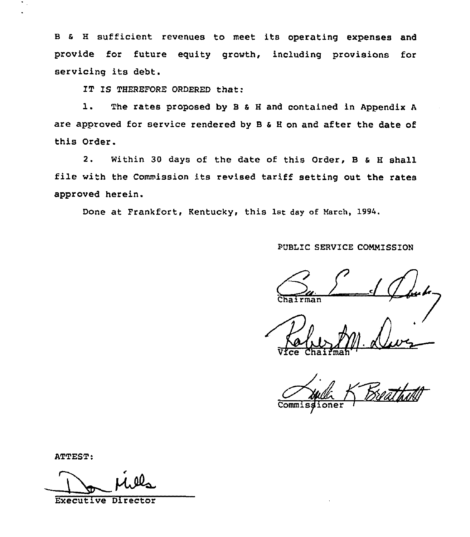<sup>B</sup> s <sup>H</sup> sufficient revenues to meet its operating expenses and provide for future equity growth, including provisions for servicing its debt.

IT IS THEREFORE ORDERED that:

l. The rates proposed by <sup>B</sup> <sup>s</sup> <sup>H</sup> and contained in Appendix <sup>A</sup> are approved for service rendered by <sup>B</sup> s <sup>H</sup> on and after the date of this Order.

2. within 30 days of the date of this order, <sup>B</sup> <sup>a</sup> <sup>H</sup> shall file with the Commission its revised tariff setting out the rates approved herein.

Done at Frankfort, Kentucky, this 1st day of March, 1994.

PUBLIC SERVICE COMMISSION

Chairman

Vice Chaifmah''

nor

ATTEST:

Executive Director